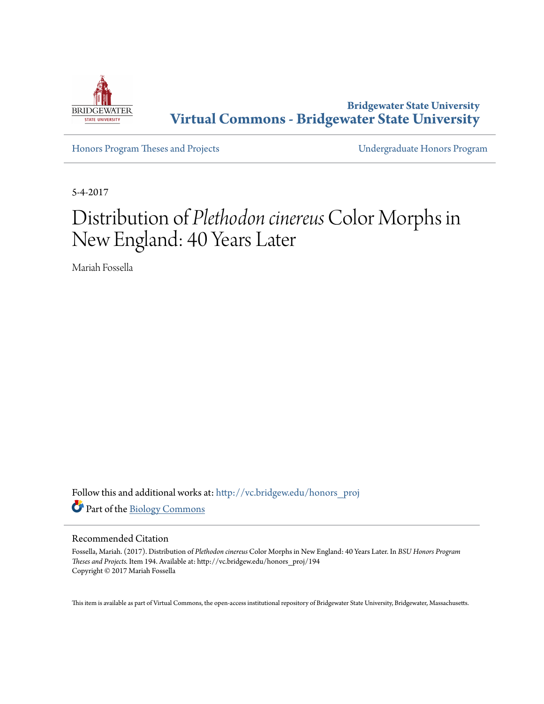

**Bridgewater State University [Virtual Commons - Bridgewater State University](http://vc.bridgew.edu?utm_source=vc.bridgew.edu%2Fhonors_proj%2F194&utm_medium=PDF&utm_campaign=PDFCoverPages)**

[Honors Program Theses and Projects](http://vc.bridgew.edu/honors_proj?utm_source=vc.bridgew.edu%2Fhonors_proj%2F194&utm_medium=PDF&utm_campaign=PDFCoverPages) [Undergraduate Honors Program](http://vc.bridgew.edu/honors?utm_source=vc.bridgew.edu%2Fhonors_proj%2F194&utm_medium=PDF&utm_campaign=PDFCoverPages)

5-4-2017

# Distribution of *Plethodon cinereus*Color Morphs in New England: 40 Years Later

Mariah Fossella

Follow this and additional works at: [http://vc.bridgew.edu/honors\\_proj](http://vc.bridgew.edu/honors_proj?utm_source=vc.bridgew.edu%2Fhonors_proj%2F194&utm_medium=PDF&utm_campaign=PDFCoverPages) Part of the [Biology Commons](http://network.bepress.com/hgg/discipline/41?utm_source=vc.bridgew.edu%2Fhonors_proj%2F194&utm_medium=PDF&utm_campaign=PDFCoverPages)

# Recommended Citation

Fossella, Mariah. (2017). Distribution of *Plethodon cinereus* Color Morphs in New England: 40 Years Later. In *BSU Honors Program Theses and Projects.* Item 194. Available at: http://vc.bridgew.edu/honors\_proj/194 Copyright © 2017 Mariah Fossella

This item is available as part of Virtual Commons, the open-access institutional repository of Bridgewater State University, Bridgewater, Massachusetts.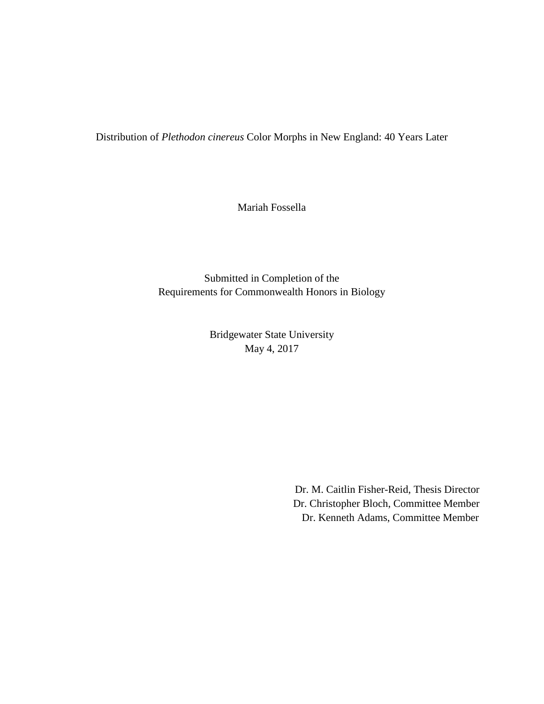Distribution of *Plethodon cinereus* Color Morphs in New England: 40 Years Later

Mariah Fossella

Submitted in Completion of the Requirements for Commonwealth Honors in Biology

> Bridgewater State University May 4, 2017

> > Dr. M. Caitlin Fisher-Reid, Thesis Director Dr. Christopher Bloch, Committee Member Dr. Kenneth Adams, Committee Member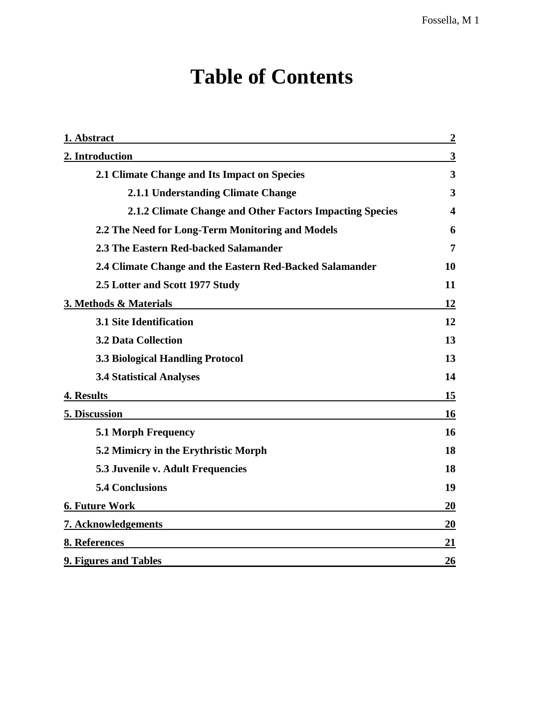# **Table of Contents**

| 1. Abstract                                              | $\overline{2}$          |
|----------------------------------------------------------|-------------------------|
| 2. Introduction                                          | 3                       |
| 2.1 Climate Change and Its Impact on Species             | $\overline{\mathbf{3}}$ |
| 2.1.1 Understanding Climate Change                       | 3                       |
| 2.1.2 Climate Change and Other Factors Impacting Species | 4                       |
| 2.2 The Need for Long-Term Monitoring and Models         | 6                       |
| 2.3 The Eastern Red-backed Salamander                    | 7                       |
| 2.4 Climate Change and the Eastern Red-Backed Salamander | 10                      |
| 2.5 Lotter and Scott 1977 Study                          | 11                      |
| 3. Methods & Materials                                   | 12                      |
| <b>3.1 Site Identification</b>                           | 12                      |
| <b>3.2 Data Collection</b>                               | 13                      |
| 3.3 Biological Handling Protocol                         | 13                      |
| <b>3.4 Statistical Analyses</b>                          | 14                      |
| 4. Results                                               | 15                      |
| <b>5. Discussion</b>                                     | 16                      |
| 5.1 Morph Frequency                                      | 16                      |
| 5.2 Mimicry in the Erythristic Morph                     | 18                      |
| 5.3 Juvenile v. Adult Frequencies                        | 18                      |
| <b>5.4 Conclusions</b>                                   | 19                      |
| <b>6. Future Work</b>                                    | 20                      |
| 7. Acknowledgements                                      | 20                      |
| 8. References                                            | 21                      |
| 9. Figures and Tables                                    | 26                      |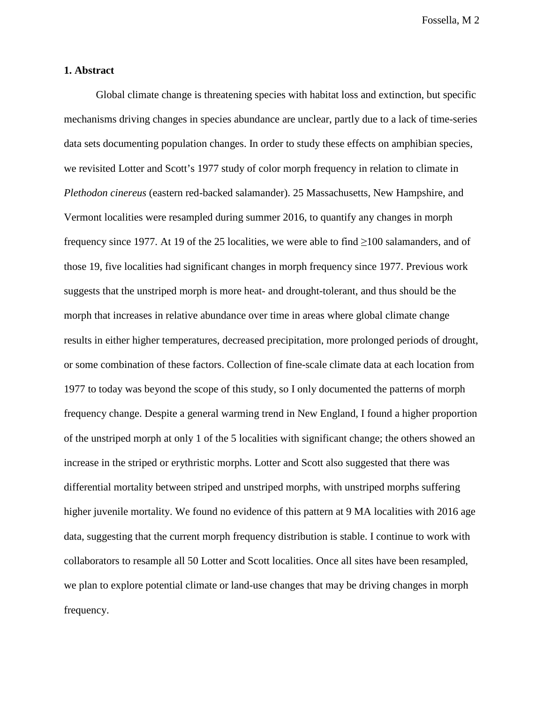# **1. Abstract**

Global climate change is threatening species with habitat loss and extinction, but specific mechanisms driving changes in species abundance are unclear, partly due to a lack of time-series data sets documenting population changes. In order to study these effects on amphibian species, we revisited Lotter and Scott's 1977 study of color morph frequency in relation to climate in *Plethodon cinereus* (eastern red-backed salamander). 25 Massachusetts, New Hampshire, and Vermont localities were resampled during summer 2016, to quantify any changes in morph frequency since 1977. At 19 of the 25 localities, we were able to find ≥100 salamanders, and of those 19, five localities had significant changes in morph frequency since 1977. Previous work suggests that the unstriped morph is more heat- and drought-tolerant, and thus should be the morph that increases in relative abundance over time in areas where global climate change results in either higher temperatures, decreased precipitation, more prolonged periods of drought, or some combination of these factors. Collection of fine-scale climate data at each location from 1977 to today was beyond the scope of this study, so I only documented the patterns of morph frequency change. Despite a general warming trend in New England, I found a higher proportion of the unstriped morph at only 1 of the 5 localities with significant change; the others showed an increase in the striped or erythristic morphs. Lotter and Scott also suggested that there was differential mortality between striped and unstriped morphs, with unstriped morphs suffering higher juvenile mortality. We found no evidence of this pattern at 9 MA localities with 2016 age data, suggesting that the current morph frequency distribution is stable. I continue to work with collaborators to resample all 50 Lotter and Scott localities. Once all sites have been resampled, we plan to explore potential climate or land-use changes that may be driving changes in morph frequency.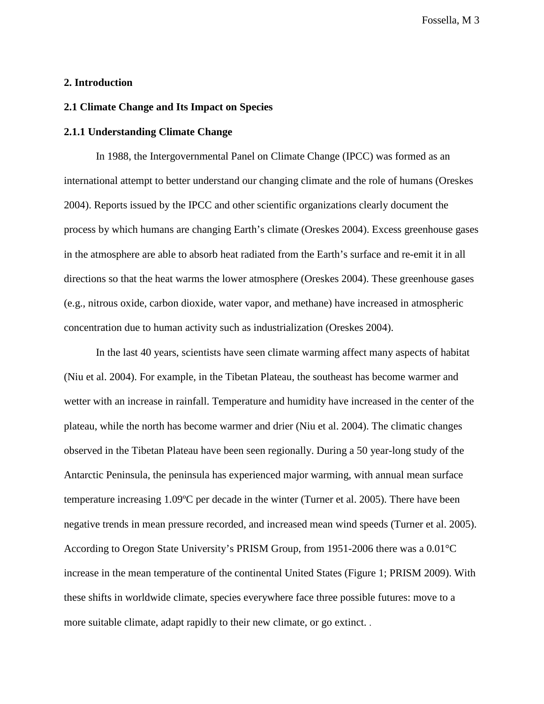# **2. Introduction**

# **2.1 Climate Change and Its Impact on Species**

# **2.1.1 Understanding Climate Change**

In 1988, the Intergovernmental Panel on Climate Change (IPCC) was formed as an international attempt to better understand our changing climate and the role of humans (Oreskes 2004). Reports issued by the IPCC and other scientific organizations clearly document the process by which humans are changing Earth's climate (Oreskes 2004). Excess greenhouse gases in the atmosphere are able to absorb heat radiated from the Earth's surface and re-emit it in all directions so that the heat warms the lower atmosphere (Oreskes 2004). These greenhouse gases (e.g., nitrous oxide, carbon dioxide, water vapor, and methane) have increased in atmospheric concentration due to human activity such as industrialization (Oreskes 2004).

In the last 40 years, scientists have seen climate warming affect many aspects of habitat (Niu et al. 2004). For example, in the Tibetan Plateau, the southeast has become warmer and wetter with an increase in rainfall. Temperature and humidity have increased in the center of the plateau, while the north has become warmer and drier (Niu et al. 2004). The climatic changes observed in the Tibetan Plateau have been seen regionally. During a 50 year-long study of the Antarctic Peninsula, the peninsula has experienced major warming, with annual mean surface temperature increasing 1.09ºC per decade in the winter (Turner et al. 2005). There have been negative trends in mean pressure recorded, and increased mean wind speeds (Turner et al. 2005). According to Oregon State University's PRISM Group, from 1951-2006 there was a 0.01°C increase in the mean temperature of the continental United States (Figure 1; PRISM 2009). With these shifts in worldwide climate, species everywhere face three possible futures: move to a more suitable climate, adapt rapidly to their new climate, or go extinct. .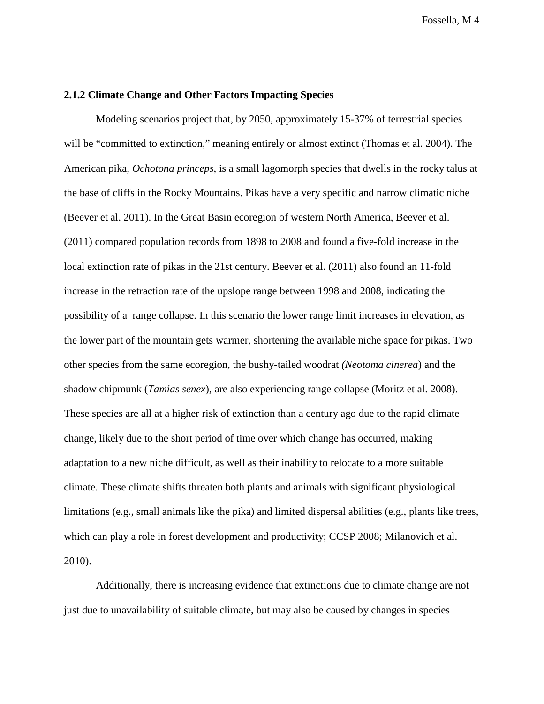# **2.1.2 Climate Change and Other Factors Impacting Species**

Modeling scenarios project that, by 2050, approximately 15-37% of terrestrial species will be "committed to extinction," meaning entirely or almost extinct (Thomas et al. 2004). The American pika, *Ochotona princeps*, is a small lagomorph species that dwells in the rocky talus at the base of cliffs in the Rocky Mountains. Pikas have a very specific and narrow climatic niche (Beever et al. 2011). In the Great Basin ecoregion of western North America, Beever et al. (2011) compared population records from 1898 to 2008 and found a five-fold increase in the local extinction rate of pikas in the 21st century. Beever et al. (2011) also found an 11-fold increase in the retraction rate of the upslope range between 1998 and 2008, indicating the possibility of a range collapse. In this scenario the lower range limit increases in elevation, as the lower part of the mountain gets warmer, shortening the available niche space for pikas. Two other species from the same ecoregion, the bushy-tailed woodrat *(Neotoma cinerea*) and the shadow chipmunk (*Tamias senex*), are also experiencing range collapse (Moritz et al. 2008). These species are all at a higher risk of extinction than a century ago due to the rapid climate change, likely due to the short period of time over which change has occurred, making adaptation to a new niche difficult, as well as their inability to relocate to a more suitable climate. These climate shifts threaten both plants and animals with significant physiological limitations (e.g., small animals like the pika) and limited dispersal abilities (e.g., plants like trees, which can play a role in forest development and productivity; CCSP 2008; Milanovich et al. 2010).

Additionally, there is increasing evidence that extinctions due to climate change are not just due to unavailability of suitable climate, but may also be caused by changes in species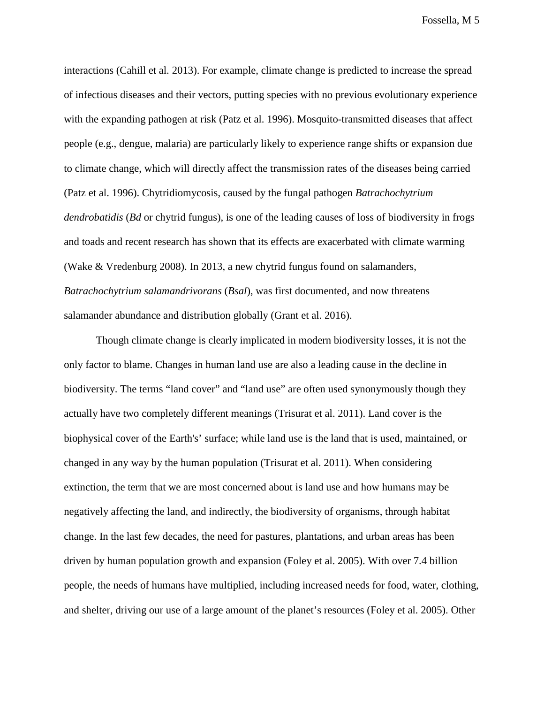interactions (Cahill et al. 2013). For example, climate change is predicted to increase the spread of infectious diseases and their vectors, putting species with no previous evolutionary experience with the expanding pathogen at risk (Patz et al. 1996). Mosquito-transmitted diseases that affect people (e.g., dengue, malaria) are particularly likely to experience range shifts or expansion due to climate change, which will directly affect the transmission rates of the diseases being carried (Patz et al. 1996). Chytridiomycosis, caused by the fungal pathogen *Batrachochytrium dendrobatidis* (*Bd* or chytrid fungus), is one of the leading causes of loss of biodiversity in frogs and toads and recent research has shown that its effects are exacerbated with climate warming (Wake & Vredenburg 2008). In 2013, a new chytrid fungus found on salamanders, *Batrachochytrium salamandrivorans* (*Bsal*), was first documented, and now threatens salamander abundance and distribution globally (Grant et al. 2016).

Though climate change is clearly implicated in modern biodiversity losses, it is not the only factor to blame. Changes in human land use are also a leading cause in the decline in biodiversity. The terms "land cover" and "land use" are often used synonymously though they actually have two completely different meanings (Trisurat et al. 2011). Land cover is the biophysical cover of the Earth's' surface; while land use is the land that is used, maintained, or changed in any way by the human population (Trisurat et al. 2011). When considering extinction, the term that we are most concerned about is land use and how humans may be negatively affecting the land, and indirectly, the biodiversity of organisms, through habitat change. In the last few decades, the need for pastures, plantations, and urban areas has been driven by human population growth and expansion (Foley et al. 2005). With over 7.4 billion people, the needs of humans have multiplied, including increased needs for food, water, clothing, and shelter, driving our use of a large amount of the planet's resources (Foley et al. 2005). Other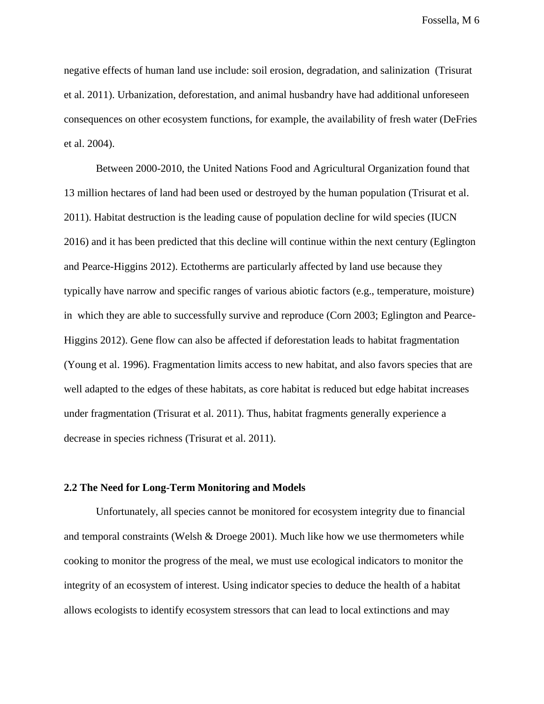negative effects of human land use include: soil erosion, degradation, and salinization (Trisurat et al. 2011). Urbanization, deforestation, and animal husbandry have had additional unforeseen consequences on other ecosystem functions, for example, the availability of fresh water (DeFries et al. 2004).

Between 2000-2010, the United Nations Food and Agricultural Organization found that 13 million hectares of land had been used or destroyed by the human population (Trisurat et al. 2011). Habitat destruction is the leading cause of population decline for wild species (IUCN 2016) and it has been predicted that this decline will continue within the next century (Eglington and Pearce-Higgins 2012). Ectotherms are particularly affected by land use because they typically have narrow and specific ranges of various abiotic factors (e.g., temperature, moisture) in which they are able to successfully survive and reproduce (Corn 2003; Eglington and Pearce-Higgins 2012). Gene flow can also be affected if deforestation leads to habitat fragmentation (Young et al. 1996). Fragmentation limits access to new habitat, and also favors species that are well adapted to the edges of these habitats, as core habitat is reduced but edge habitat increases under fragmentation (Trisurat et al. 2011). Thus, habitat fragments generally experience a decrease in species richness (Trisurat et al. 2011).

#### **2.2 The Need for Long-Term Monitoring and Models**

Unfortunately, all species cannot be monitored for ecosystem integrity due to financial and temporal constraints (Welsh  $&$  Droege 2001). Much like how we use thermometers while cooking to monitor the progress of the meal, we must use ecological indicators to monitor the integrity of an ecosystem of interest. Using indicator species to deduce the health of a habitat allows ecologists to identify ecosystem stressors that can lead to local extinctions and may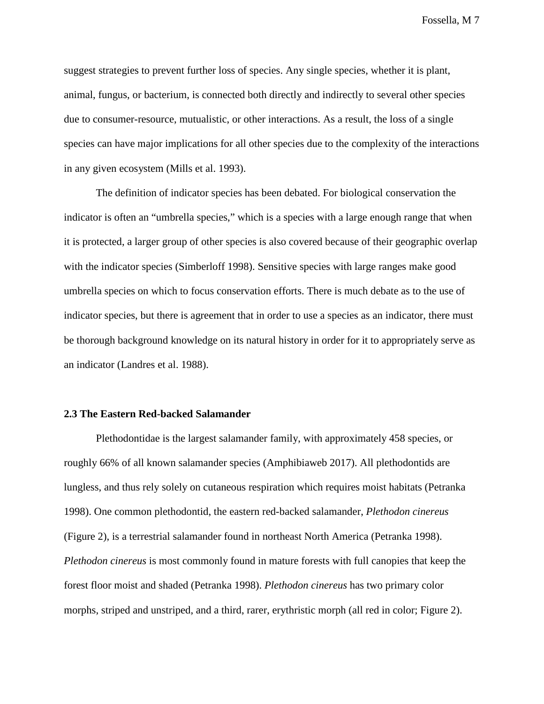suggest strategies to prevent further loss of species. Any single species, whether it is plant, animal, fungus, or bacterium, is connected both directly and indirectly to several other species due to consumer-resource, mutualistic, or other interactions. As a result, the loss of a single species can have major implications for all other species due to the complexity of the interactions in any given ecosystem (Mills et al. 1993).

The definition of indicator species has been debated. For biological conservation the indicator is often an "umbrella species," which is a species with a large enough range that when it is protected, a larger group of other species is also covered because of their geographic overlap with the indicator species (Simberloff 1998). Sensitive species with large ranges make good umbrella species on which to focus conservation efforts. There is much debate as to the use of indicator species, but there is agreement that in order to use a species as an indicator, there must be thorough background knowledge on its natural history in order for it to appropriately serve as an indicator (Landres et al. 1988).

# **2.3 The Eastern Red-backed Salamander**

Plethodontidae is the largest salamander family, with approximately 458 species, or roughly 66% of all known salamander species (Amphibiaweb 2017). All plethodontids are lungless, and thus rely solely on cutaneous respiration which requires moist habitats (Petranka 1998). One common plethodontid, the eastern red-backed salamander, *Plethodon cinereus*  (Figure 2), is a terrestrial salamander found in northeast North America (Petranka 1998). *Plethodon cinereus* is most commonly found in mature forests with full canopies that keep the forest floor moist and shaded (Petranka 1998). *Plethodon cinereus* has two primary color morphs, striped and unstriped, and a third, rarer, erythristic morph (all red in color; Figure 2).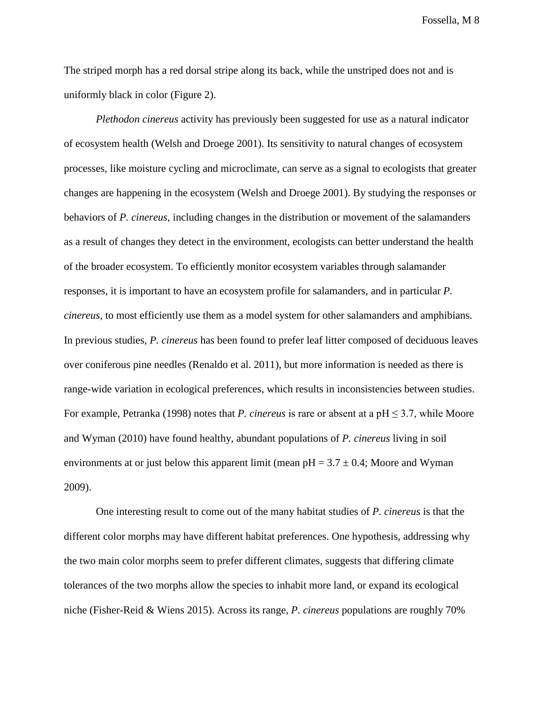The striped morph has a red dorsal stripe along its back, while the unstriped does not and is uniformly black in color (Figure 2).

*Plethodon cinereus* activity has previously been suggested for use as a natural indicator of ecosystem health (Welsh and Droege 2001). Its sensitivity to natural changes of ecosystem processes, like moisture cycling and microclimate, can serve as a signal to ecologists that greater changes are happening in the ecosystem (Welsh and Droege 2001). By studying the responses or behaviors of *P. cinereus*, including changes in the distribution or movement of the salamanders as a result of changes they detect in the environment, ecologists can better understand the health of the broader ecosystem. To efficiently monitor ecosystem variables through salamander responses, it is important to have an ecosystem profile for salamanders, and in particular *P. cinereus,* to most efficiently use them as a model system for other salamanders and amphibians. In previous studies, *P. cinereus* has been found to prefer leaf litter composed of deciduous leaves over coniferous pine needles (Renaldo et al. 2011), but more information is needed as there is range-wide variation in ecological preferences, which results in inconsistencies between studies. For example, Petranka (1998) notes that *P. cinereus* is rare or absent at a pH  $\leq$  3.7, while Moore and Wyman (2010) have found healthy, abundant populations of *P. cinereus* living in soil environments at or just below this apparent limit (mean  $pH = 3.7 \pm 0.4$ ; Moore and Wyman 2009).

One interesting result to come out of the many habitat studies of *P. cinereus* is that the different color morphs may have different habitat preferences. One hypothesis, addressing why the two main color morphs seem to prefer different climates, suggests that differing climate tolerances of the two morphs allow the species to inhabit more land, or expand its ecological niche (Fisher-Reid & Wiens 2015). Across its range, *P. cinereus* populations are roughly 70%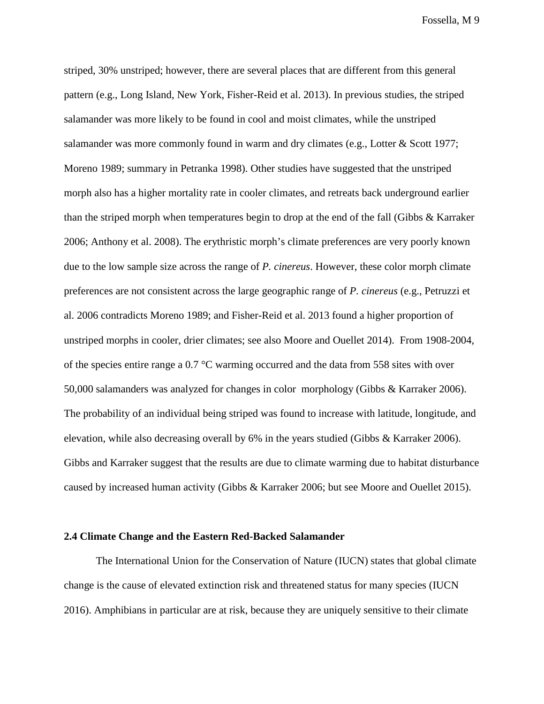striped, 30% unstriped; however, there are several places that are different from this general pattern (e.g., Long Island, New York, Fisher-Reid et al. 2013). In previous studies, the striped salamander was more likely to be found in cool and moist climates, while the unstriped salamander was more commonly found in warm and dry climates (e.g., Lotter & Scott 1977; Moreno 1989; summary in Petranka 1998). Other studies have suggested that the unstriped morph also has a higher mortality rate in cooler climates, and retreats back underground earlier than the striped morph when temperatures begin to drop at the end of the fall (Gibbs & Karraker 2006; Anthony et al. 2008). The erythristic morph's climate preferences are very poorly known due to the low sample size across the range of *P. cinereus*. However, these color morph climate preferences are not consistent across the large geographic range of *P. cinereus* (e.g., Petruzzi et al. 2006 contradicts Moreno 1989; and Fisher-Reid et al. 2013 found a higher proportion of unstriped morphs in cooler, drier climates; see also Moore and Ouellet 2014). From 1908-2004, of the species entire range a 0.7 °C warming occurred and the data from 558 sites with over 50,000 salamanders was analyzed for changes in color morphology (Gibbs & Karraker 2006). The probability of an individual being striped was found to increase with latitude, longitude, and elevation, while also decreasing overall by 6% in the years studied (Gibbs & Karraker 2006). Gibbs and Karraker suggest that the results are due to climate warming due to habitat disturbance caused by increased human activity (Gibbs & Karraker 2006; but see Moore and Ouellet 2015).

# **2.4 Climate Change and the Eastern Red-Backed Salamander**

The International Union for the Conservation of Nature (IUCN) states that global climate change is the cause of elevated extinction risk and threatened status for many species (IUCN 2016). Amphibians in particular are at risk, because they are uniquely sensitive to their climate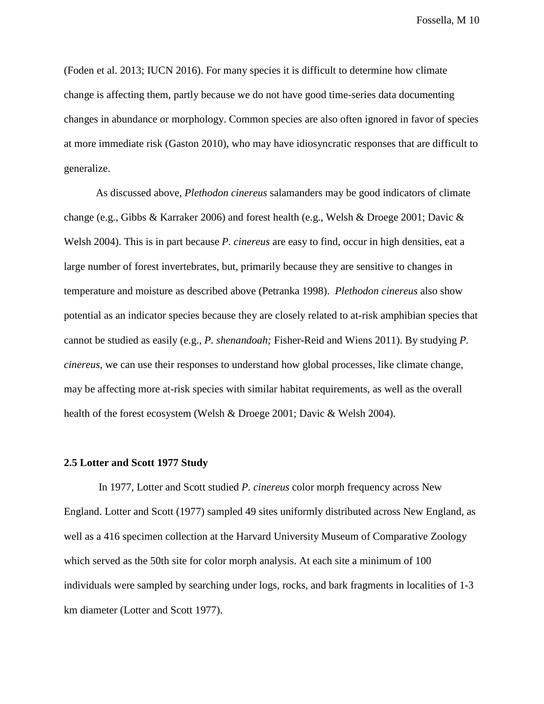(Foden et al. 2013; IUCN 2016). For many species it is difficult to determine how climate change is affecting them, partly because we do not have good time-series data documenting changes in abundance or morphology. Common species are also often ignored in favor of species at more immediate risk (Gaston 2010), who may have idiosyncratic responses that are difficult to generalize.

As discussed above, *Plethodon cinereus* salamanders may be good indicators of climate change (e.g., Gibbs & Karraker 2006) and forest health (e.g., Welsh & Droege 2001; Davic & Welsh 2004). This is in part because *P. cinereus* are easy to find, occur in high densities, eat a large number of forest invertebrates, but, primarily because they are sensitive to changes in temperature and moisture as described above (Petranka 1998). *Plethodon cinereus* also show potential as an indicator species because they are closely related to at-risk amphibian species that cannot be studied as easily (e.g., *P. shenandoah;* Fisher-Reid and Wiens 2011). By studying *P. cinereus*, we can use their responses to understand how global processes, like climate change, may be affecting more at-risk species with similar habitat requirements, as well as the overall health of the forest ecosystem (Welsh & Droege 2001; Davic & Welsh 2004).

#### **2.5 Lotter and Scott 1977 Study**

In 1977, Lotter and Scott studied *P. cinereus* color morph frequency across New England. Lotter and Scott (1977) sampled 49 sites uniformly distributed across New England, as well as a 416 specimen collection at the Harvard University Museum of Comparative Zoology which served as the 50th site for color morph analysis. At each site a minimum of 100 individuals were sampled by searching under logs, rocks, and bark fragments in localities of 1-3 km diameter (Lotter and Scott 1977).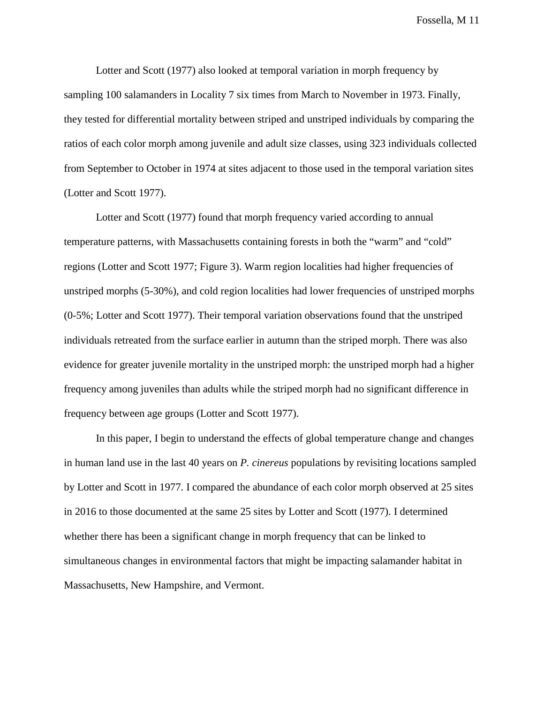Lotter and Scott (1977) also looked at temporal variation in morph frequency by sampling 100 salamanders in Locality 7 six times from March to November in 1973. Finally, they tested for differential mortality between striped and unstriped individuals by comparing the ratios of each color morph among juvenile and adult size classes, using 323 individuals collected from September to October in 1974 at sites adjacent to those used in the temporal variation sites (Lotter and Scott 1977).

Lotter and Scott (1977) found that morph frequency varied according to annual temperature patterns, with Massachusetts containing forests in both the "warm" and "cold" regions (Lotter and Scott 1977; Figure 3). Warm region localities had higher frequencies of unstriped morphs (5-30%), and cold region localities had lower frequencies of unstriped morphs (0-5%; Lotter and Scott 1977). Their temporal variation observations found that the unstriped individuals retreated from the surface earlier in autumn than the striped morph. There was also evidence for greater juvenile mortality in the unstriped morph: the unstriped morph had a higher frequency among juveniles than adults while the striped morph had no significant difference in frequency between age groups (Lotter and Scott 1977).

In this paper, I begin to understand the effects of global temperature change and changes in human land use in the last 40 years on *P. cinereus* populations by revisiting locations sampled by Lotter and Scott in 1977. I compared the abundance of each color morph observed at 25 sites in 2016 to those documented at the same 25 sites by Lotter and Scott (1977). I determined whether there has been a significant change in morph frequency that can be linked to simultaneous changes in environmental factors that might be impacting salamander habitat in Massachusetts, New Hampshire, and Vermont.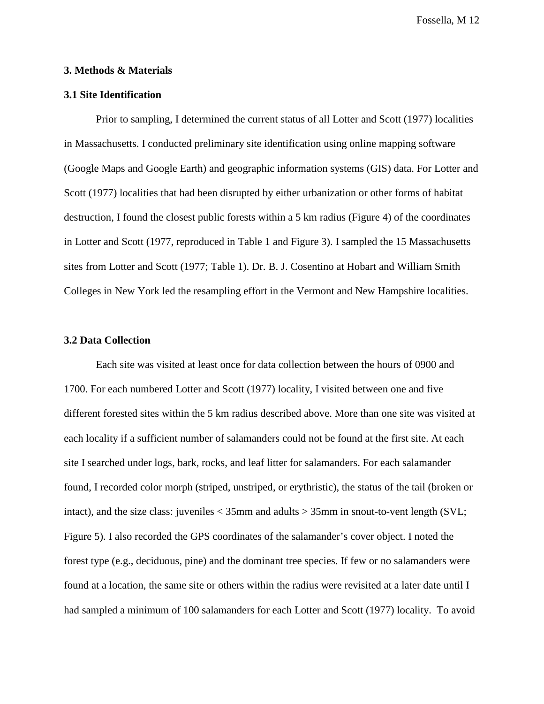# **3. Methods & Materials**

# **3.1 Site Identification**

Prior to sampling, I determined the current status of all Lotter and Scott (1977) localities in Massachusetts. I conducted preliminary site identification using online mapping software (Google Maps and Google Earth) and geographic information systems (GIS) data. For Lotter and Scott (1977) localities that had been disrupted by either urbanization or other forms of habitat destruction, I found the closest public forests within a 5 km radius (Figure 4) of the coordinates in Lotter and Scott (1977, reproduced in Table 1 and Figure 3). I sampled the 15 Massachusetts sites from Lotter and Scott (1977; Table 1). Dr. B. J. Cosentino at Hobart and William Smith Colleges in New York led the resampling effort in the Vermont and New Hampshire localities.

#### **3.2 Data Collection**

Each site was visited at least once for data collection between the hours of 0900 and 1700. For each numbered Lotter and Scott (1977) locality, I visited between one and five different forested sites within the 5 km radius described above. More than one site was visited at each locality if a sufficient number of salamanders could not be found at the first site. At each site I searched under logs, bark, rocks, and leaf litter for salamanders. For each salamander found, I recorded color morph (striped, unstriped, or erythristic), the status of the tail (broken or intact), and the size class: juveniles  $<$  35mm and adults  $>$  35mm in snout-to-vent length (SVL; Figure 5). I also recorded the GPS coordinates of the salamander's cover object. I noted the forest type (e.g., deciduous, pine) and the dominant tree species. If few or no salamanders were found at a location, the same site or others within the radius were revisited at a later date until I had sampled a minimum of 100 salamanders for each Lotter and Scott (1977) locality. To avoid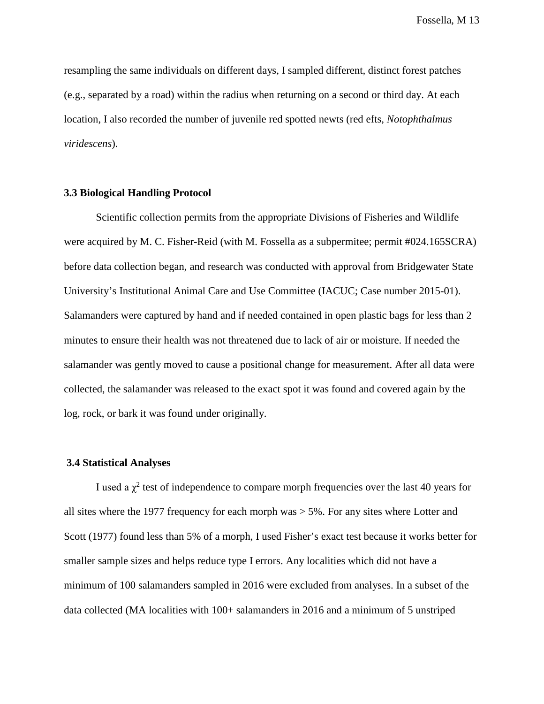resampling the same individuals on different days, I sampled different, distinct forest patches (e.g., separated by a road) within the radius when returning on a second or third day. At each location, I also recorded the number of juvenile red spotted newts (red efts, *Notophthalmus viridescens*).

# **3.3 Biological Handling Protocol**

Scientific collection permits from the appropriate Divisions of Fisheries and Wildlife were acquired by M. C. Fisher-Reid (with M. Fossella as a subpermitee; permit #024.165SCRA) before data collection began, and research was conducted with approval from Bridgewater State University's Institutional Animal Care and Use Committee (IACUC; Case number 2015-01). Salamanders were captured by hand and if needed contained in open plastic bags for less than 2 minutes to ensure their health was not threatened due to lack of air or moisture. If needed the salamander was gently moved to cause a positional change for measurement. After all data were collected, the salamander was released to the exact spot it was found and covered again by the log, rock, or bark it was found under originally.

#### **3.4 Statistical Analyses**

I used a  $\chi^2$  test of independence to compare morph frequencies over the last 40 years for all sites where the 1977 frequency for each morph was > 5%. For any sites where Lotter and Scott (1977) found less than 5% of a morph, I used Fisher's exact test because it works better for smaller sample sizes and helps reduce type I errors. Any localities which did not have a minimum of 100 salamanders sampled in 2016 were excluded from analyses. In a subset of the data collected (MA localities with 100+ salamanders in 2016 and a minimum of 5 unstriped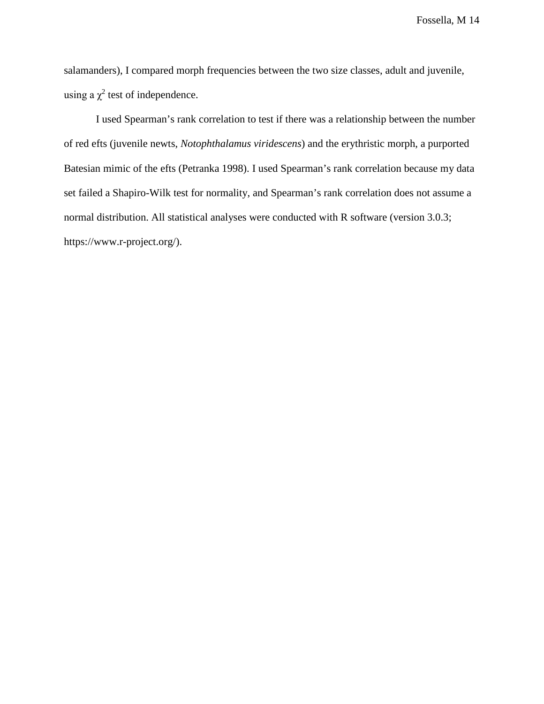salamanders), I compared morph frequencies between the two size classes, adult and juvenile, using a  $\chi^2$  test of independence.

I used Spearman's rank correlation to test if there was a relationship between the number of red efts (juvenile newts, *Notophthalamus viridescens*) and the erythristic morph, a purported Batesian mimic of the efts (Petranka 1998). I used Spearman's rank correlation because my data set failed a Shapiro-Wilk test for normality, and Spearman's rank correlation does not assume a normal distribution. All statistical analyses were conducted with R software (version 3.0.3; https://www.r-project.org/).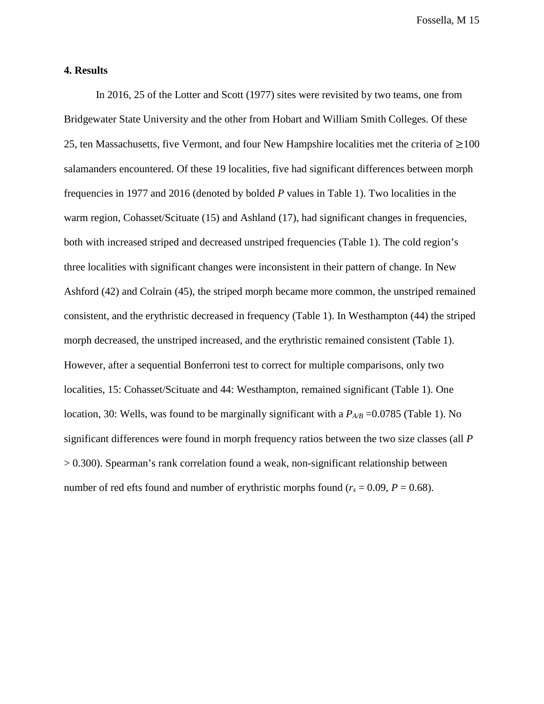# **4. Results**

In 2016, 25 of the Lotter and Scott (1977) sites were revisited by two teams, one from Bridgewater State University and the other from Hobart and William Smith Colleges. Of these 25, ten Massachusetts, five Vermont, and four New Hampshire localities met the criteria of  $\geq$ 100 salamanders encountered. Of these 19 localities, five had significant differences between morph frequencies in 1977 and 2016 (denoted by bolded *P* values in Table 1). Two localities in the warm region, Cohasset/Scituate (15) and Ashland (17), had significant changes in frequencies, both with increased striped and decreased unstriped frequencies (Table 1). The cold region's three localities with significant changes were inconsistent in their pattern of change. In New Ashford (42) and Colrain (45), the striped morph became more common, the unstriped remained consistent, and the erythristic decreased in frequency (Table 1). In Westhampton (44) the striped morph decreased, the unstriped increased, and the erythristic remained consistent (Table 1). However, after a sequential Bonferroni test to correct for multiple comparisons, only two localities, 15: Cohasset/Scituate and 44: Westhampton, remained significant (Table 1). One location, 30: Wells, was found to be marginally significant with a  $P_{AB}$  =0.0785 (Table 1). No significant differences were found in morph frequency ratios between the two size classes (all *P*  > 0.300). Spearman's rank correlation found a weak, non-significant relationship between number of red efts found and number of erythristic morphs found ( $r_s = 0.09$ ,  $P = 0.68$ ).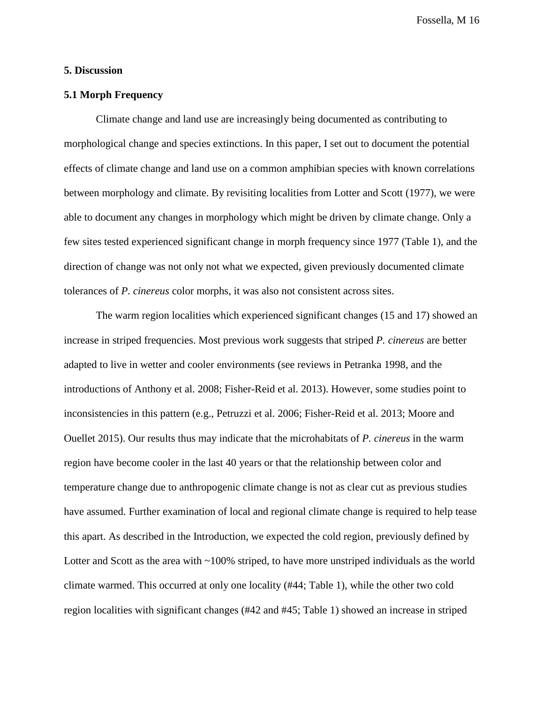# **5. Discussion**

# **5.1 Morph Frequency**

Climate change and land use are increasingly being documented as contributing to morphological change and species extinctions. In this paper, I set out to document the potential effects of climate change and land use on a common amphibian species with known correlations between morphology and climate. By revisiting localities from Lotter and Scott (1977), we were able to document any changes in morphology which might be driven by climate change. Only a few sites tested experienced significant change in morph frequency since 1977 (Table 1), and the direction of change was not only not what we expected, given previously documented climate tolerances of *P. cinereus* color morphs, it was also not consistent across sites.

The warm region localities which experienced significant changes (15 and 17) showed an increase in striped frequencies. Most previous work suggests that striped *P. cinereus* are better adapted to live in wetter and cooler environments (see reviews in Petranka 1998, and the introductions of Anthony et al. 2008; Fisher-Reid et al. 2013). However, some studies point to inconsistencies in this pattern (e.g., Petruzzi et al. 2006; Fisher-Reid et al. 2013; Moore and Ouellet 2015). Our results thus may indicate that the microhabitats of *P. cinereus* in the warm region have become cooler in the last 40 years or that the relationship between color and temperature change due to anthropogenic climate change is not as clear cut as previous studies have assumed. Further examination of local and regional climate change is required to help tease this apart. As described in the Introduction, we expected the cold region, previously defined by Lotter and Scott as the area with  $\sim$ 100% striped, to have more unstriped individuals as the world climate warmed. This occurred at only one locality (#44; Table 1), while the other two cold region localities with significant changes (#42 and #45; Table 1) showed an increase in striped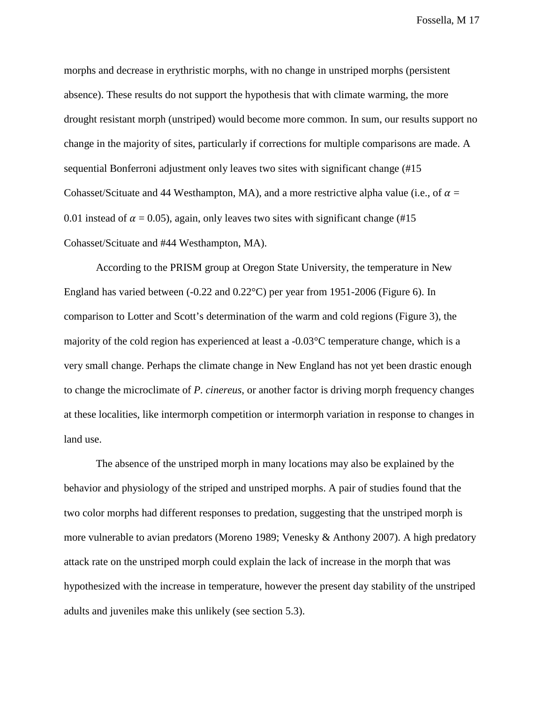morphs and decrease in erythristic morphs, with no change in unstriped morphs (persistent absence). These results do not support the hypothesis that with climate warming, the more drought resistant morph (unstriped) would become more common. In sum, our results support no change in the majority of sites, particularly if corrections for multiple comparisons are made. A sequential Bonferroni adjustment only leaves two sites with significant change (#15 Cohasset/Scituate and 44 Westhampton, MA), and a more restrictive alpha value (i.e., of  $\alpha$  = 0.01 instead of  $\alpha$  = 0.05), again, only leaves two sites with significant change (#15 Cohasset/Scituate and #44 Westhampton, MA).

According to the PRISM group at Oregon State University, the temperature in New England has varied between (-0.22 and 0.22°C) per year from 1951-2006 (Figure 6). In comparison to Lotter and Scott's determination of the warm and cold regions (Figure 3), the majority of the cold region has experienced at least a -0.03°C temperature change, which is a very small change. Perhaps the climate change in New England has not yet been drastic enough to change the microclimate of *P. cinereus*, or another factor is driving morph frequency changes at these localities, like intermorph competition or intermorph variation in response to changes in land use.

The absence of the unstriped morph in many locations may also be explained by the behavior and physiology of the striped and unstriped morphs. A pair of studies found that the two color morphs had different responses to predation, suggesting that the unstriped morph is more vulnerable to avian predators (Moreno 1989; Venesky & Anthony 2007). A high predatory attack rate on the unstriped morph could explain the lack of increase in the morph that was hypothesized with the increase in temperature, however the present day stability of the unstriped adults and juveniles make this unlikely (see section 5.3).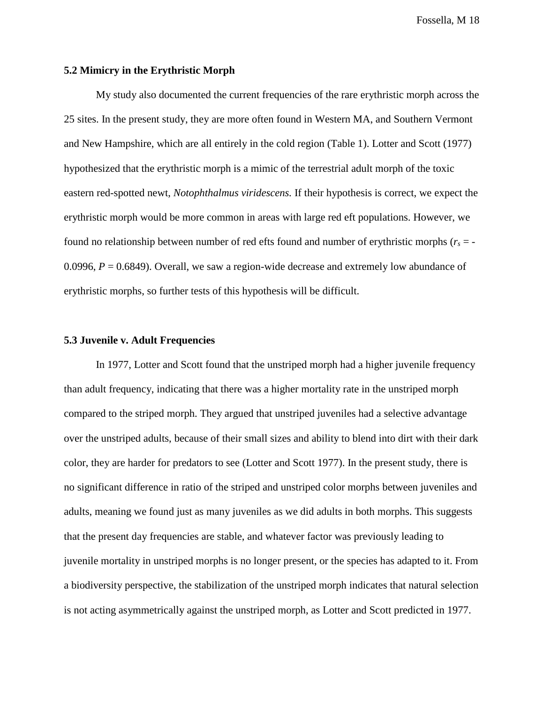# **5.2 Mimicry in the Erythristic Morph**

My study also documented the current frequencies of the rare erythristic morph across the 25 sites. In the present study, they are more often found in Western MA, and Southern Vermont and New Hampshire, which are all entirely in the cold region (Table 1). Lotter and Scott (1977) hypothesized that the erythristic morph is a mimic of the terrestrial adult morph of the toxic eastern red-spotted newt, *Notophthalmus viridescens.* If their hypothesis is correct, we expect the erythristic morph would be more common in areas with large red eft populations. However, we found no relationship between number of red efts found and number of erythristic morphs  $(r_s = -1)$ 0.0996,  $P = 0.6849$ ). Overall, we saw a region-wide decrease and extremely low abundance of erythristic morphs, so further tests of this hypothesis will be difficult.

#### **5.3 Juvenile v. Adult Frequencies**

In 1977, Lotter and Scott found that the unstriped morph had a higher juvenile frequency than adult frequency, indicating that there was a higher mortality rate in the unstriped morph compared to the striped morph. They argued that unstriped juveniles had a selective advantage over the unstriped adults, because of their small sizes and ability to blend into dirt with their dark color, they are harder for predators to see (Lotter and Scott 1977). In the present study, there is no significant difference in ratio of the striped and unstriped color morphs between juveniles and adults, meaning we found just as many juveniles as we did adults in both morphs. This suggests that the present day frequencies are stable, and whatever factor was previously leading to juvenile mortality in unstriped morphs is no longer present, or the species has adapted to it. From a biodiversity perspective, the stabilization of the unstriped morph indicates that natural selection is not acting asymmetrically against the unstriped morph, as Lotter and Scott predicted in 1977.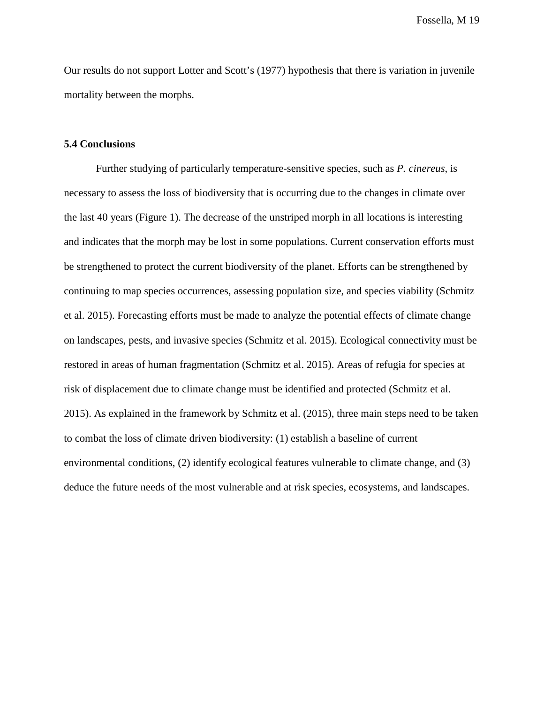Our results do not support Lotter and Scott's (1977) hypothesis that there is variation in juvenile mortality between the morphs.

### **5.4 Conclusions**

Further studying of particularly temperature-sensitive species, such as *P. cinereus*, is necessary to assess the loss of biodiversity that is occurring due to the changes in climate over the last 40 years (Figure 1). The decrease of the unstriped morph in all locations is interesting and indicates that the morph may be lost in some populations. Current conservation efforts must be strengthened to protect the current biodiversity of the planet. Efforts can be strengthened by continuing to map species occurrences, assessing population size, and species viability (Schmitz et al. 2015). Forecasting efforts must be made to analyze the potential effects of climate change on landscapes, pests, and invasive species (Schmitz et al. 2015). Ecological connectivity must be restored in areas of human fragmentation (Schmitz et al. 2015). Areas of refugia for species at risk of displacement due to climate change must be identified and protected (Schmitz et al. 2015). As explained in the framework by Schmitz et al. (2015), three main steps need to be taken to combat the loss of climate driven biodiversity: (1) establish a baseline of current environmental conditions, (2) identify ecological features vulnerable to climate change, and (3) deduce the future needs of the most vulnerable and at risk species, ecosystems, and landscapes.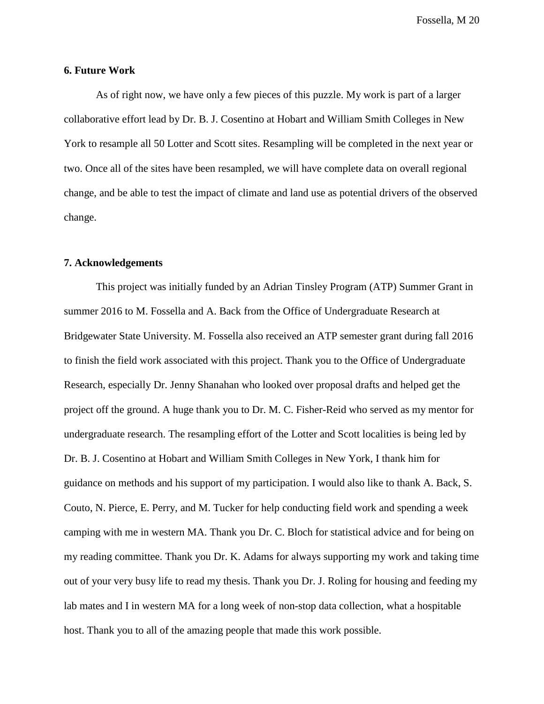#### **6. Future Work**

As of right now, we have only a few pieces of this puzzle. My work is part of a larger collaborative effort lead by Dr. B. J. Cosentino at Hobart and William Smith Colleges in New York to resample all 50 Lotter and Scott sites. Resampling will be completed in the next year or two. Once all of the sites have been resampled, we will have complete data on overall regional change, and be able to test the impact of climate and land use as potential drivers of the observed change.

#### **7. Acknowledgements**

This project was initially funded by an Adrian Tinsley Program (ATP) Summer Grant in summer 2016 to M. Fossella and A. Back from the Office of Undergraduate Research at Bridgewater State University. M. Fossella also received an ATP semester grant during fall 2016 to finish the field work associated with this project. Thank you to the Office of Undergraduate Research, especially Dr. Jenny Shanahan who looked over proposal drafts and helped get the project off the ground. A huge thank you to Dr. M. C. Fisher-Reid who served as my mentor for undergraduate research. The resampling effort of the Lotter and Scott localities is being led by Dr. B. J. Cosentino at Hobart and William Smith Colleges in New York, I thank him for guidance on methods and his support of my participation. I would also like to thank A. Back, S. Couto, N. Pierce, E. Perry, and M. Tucker for help conducting field work and spending a week camping with me in western MA. Thank you Dr. C. Bloch for statistical advice and for being on my reading committee. Thank you Dr. K. Adams for always supporting my work and taking time out of your very busy life to read my thesis. Thank you Dr. J. Roling for housing and feeding my lab mates and I in western MA for a long week of non-stop data collection, what a hospitable host. Thank you to all of the amazing people that made this work possible.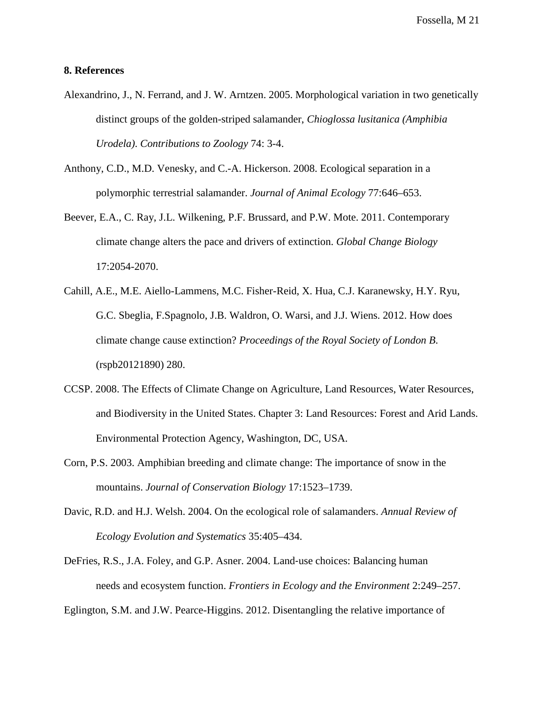# **8. References**

- Alexandrino, J., N. Ferrand, and J. W. Arntzen. 2005. Morphological variation in two genetically distinct groups of the golden-striped salamander, *Chioglossa lusitanica (Amphibia Urodela)*. *Contributions to Zoology* 74: 3-4.
- Anthony, C.D., M.D. Venesky, and C.-A. Hickerson. 2008. Ecological separation in a polymorphic terrestrial salamander. *Journal of Animal Ecology* 77:646–653.
- Beever, E.A., C. Ray, J.L. Wilkening, P.F. Brussard, and P.W. Mote. 2011. Contemporary climate change alters the pace and drivers of extinction. *Global Change Biology* 17:2054-2070.
- Cahill, A.E., M.E. Aiello-Lammens, M.C. Fisher-Reid, X. Hua, C.J. Karanewsky, H.Y. Ryu, G.C. Sbeglia, F.Spagnolo, J.B. Waldron, O. Warsi, and J.J. Wiens. 2012. How does climate change cause extinction? *Proceedings of the Royal Society of London B*. (rspb20121890) 280.
- CCSP. 2008. The Effects of Climate Change on Agriculture, Land Resources, Water Resources, and Biodiversity in the United States. Chapter 3: Land Resources: Forest and Arid Lands. Environmental Protection Agency, Washington, DC, USA.
- Corn, P.S. 2003. Amphibian breeding and climate change: The importance of snow in the mountains. *Journal of Conservation Biology* 17:1523–1739.
- Davic, R.D. and H.J. Welsh. 2004. On the ecological role of salamanders. *Annual Review of Ecology Evolution and Systematics* 35:405–434.
- DeFries, R.S., J.A. Foley, and G.P. Asner. 2004. Land‐use choices: Balancing human needs and ecosystem function. *Frontiers in Ecology and the Environment* 2:249–257.

Eglington, S.M. and J.W. Pearce-Higgins. 2012. Disentangling the relative importance of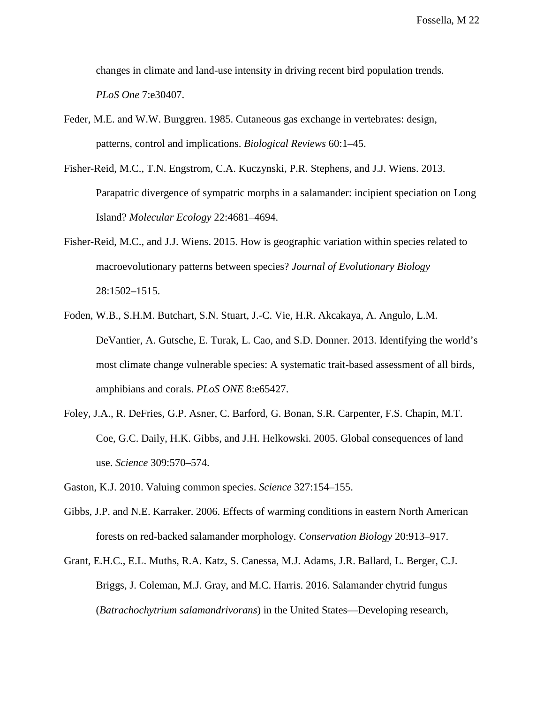changes in climate and land-use intensity in driving recent bird population trends. *PLoS One* 7:e30407.

- Feder, M.E. and W.W. Burggren. 1985. Cutaneous gas exchange in vertebrates: design, patterns, control and implications. *Biological Reviews* 60:1–45.
- Fisher-Reid, M.C., T.N. Engstrom, C.A. Kuczynski, P.R. Stephens, and J.J. Wiens. 2013. Parapatric divergence of sympatric morphs in a salamander: incipient speciation on Long Island? *Molecular Ecology* 22:4681–4694.
- Fisher-Reid, M.C., and J.J. Wiens. 2015. How is geographic variation within species related to macroevolutionary patterns between species? *Journal of Evolutionary Biology* 28:1502–1515.
- Foden, W.B., S.H.M. Butchart, S.N. Stuart, J.-C. Vie, H.R. Akcakaya, A. Angulo, L.M. DeVantier, A. Gutsche, E. Turak, L. Cao, and S.D. Donner. 2013. Identifying the world's most climate change vulnerable species: A systematic trait-based assessment of all birds, amphibians and corals. *PLoS ONE* 8:e65427.
- Foley, J.A., R. DeFries, G.P. Asner, C. Barford, G. Bonan, S.R. Carpenter, F.S. Chapin, M.T. Coe, G.C. Daily, H.K. Gibbs, and J.H. Helkowski. 2005. Global consequences of land use. *Science* 309:570–574.
- Gaston, K.J. 2010. Valuing common species. *Science* 327:154–155.
- Gibbs, J.P. and N.E. Karraker. 2006. Effects of warming conditions in eastern North American forests on red-backed salamander morphology. *Conservation Biology* 20:913–917.
- Grant, E.H.C., E.L. Muths, R.A. Katz, S. Canessa, M.J. Adams, J.R. Ballard, L. Berger, C.J. Briggs, J. Coleman, M.J. Gray, and M.C. Harris. 2016. Salamander chytrid fungus (*Batrachochytrium salamandrivorans*) in the United States—Developing research,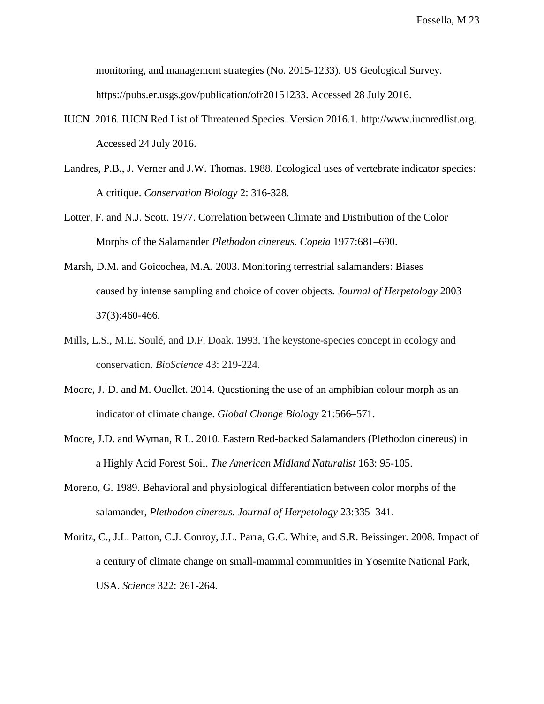monitoring, and management strategies (No. 2015-1233). US Geological Survey. https://pubs.er.usgs.gov/publication/ofr20151233. [Accessed 28 July 2016.](https://pubs.er.usgs.gov/publication/ofr20151233)

- IUCN. 2016. IUCN Red List of Threatened Species. Version 2016.1. http://www.iucnredlist.org. Accessed 24 July 2016.
- Landres, P.B., J. Verner and J.W. Thomas. 1988. Ecological uses of vertebrate indicator species: A critique. *Conservation Biology* 2: 316-328.
- Lotter, F. and N.J. Scott. 1977. Correlation between Climate and Distribution of the Color Morphs of the Salamander *Plethodon cinereus*. *Copeia* 1977:681–690.
- Marsh, D.M. and Goicochea, M.A. 2003. Monitoring terrestrial salamanders: Biases caused by intense sampling and choice of cover objects. *Journal of Herpetology* 2003 37(3):460-466.
- Mills, L.S., M.E. Soulé, and D.F. Doak. 1993. The keystone-species concept in ecology and conservation. *BioScience* 43: 219-224.
- Moore, J.-D. and M. Ouellet. 2014. Ouestioning the use of an amphibian colour morph as an indicator of climate change. *Global Change Biology* 21:566–571.
- Moore, J.D. and Wyman, R L. 2010. Eastern Red-backed Salamanders (Plethodon cinereus) in a Highly Acid Forest Soil. *The American Midland Naturalist* 163: 95-105.
- Moreno, G. 1989. Behavioral and physiological differentiation between color morphs of the salamander, *Plethodon cinereus*. *Journal of Herpetology* 23:335–341.
- Moritz, C., J.L. Patton, C.J. Conroy, J.L. Parra, G.C. White, and S.R. Beissinger. 2008. Impact of a century of climate change on small-mammal communities in Yosemite National Park, USA. *Science* 322: 261-264.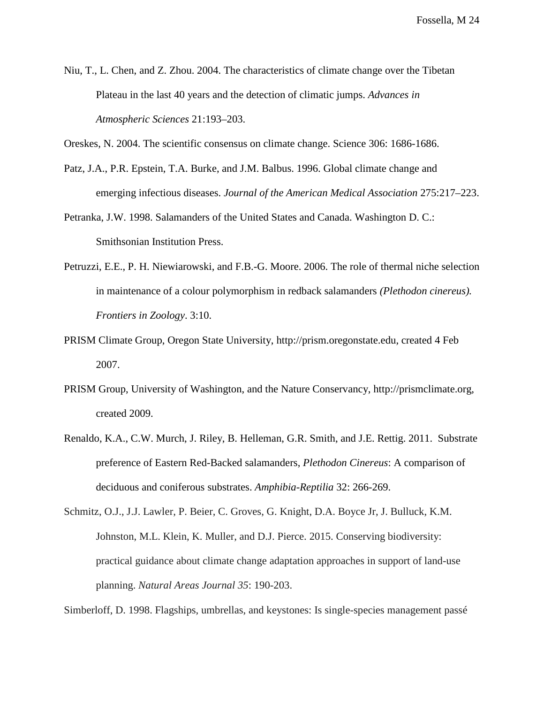Niu, T., L. Chen, and Z. Zhou. 2004. The characteristics of climate change over the Tibetan Plateau in the last 40 years and the detection of climatic jumps. *Advances in Atmospheric Sciences* 21:193–203.

Oreskes, N. 2004. The scientific consensus on climate change. Science 306: 1686-1686.

- Patz, J.A., P.R. Epstein, T.A. Burke, and J.M. Balbus. 1996. Global climate change and emerging infectious diseases. *Journal of the American Medical Association* 275:217–223.
- Petranka, J.W. 1998. Salamanders of the United States and Canada. Washington D. C.: Smithsonian Institution Press.
- Petruzzi, E.E., P. H. Niewiarowski, and F.B.-G. Moore. 2006. The role of thermal niche selection in maintenance of a colour polymorphism in redback salamanders *(Plethodon cinereus). Frontiers in Zoology*. 3:10.
- PRISM Climate Group, Oregon State University, http://prism.oregonstate.edu, created 4 Feb 2007.
- PRISM Group, University of Washington, and the Nature Conservancy, http://prismclimate.org, created 2009.
- Renaldo, K.A., C.W. Murch, J. Riley, B. Helleman, G.R. Smith, and J.E. Rettig. 2011. Substrate preference of Eastern Red-Backed salamanders, *Plethodon Cinereus*: A comparison of deciduous and coniferous substrates. *Amphibia-Reptilia* 32: 266-269.

Schmitz, O.J., J.J. Lawler, P. Beier, C. Groves, G. Knight, D.A. Boyce Jr, J. Bulluck, K.M. Johnston, M.L. Klein, K. Muller, and D.J. Pierce. 2015. Conserving biodiversity: practical guidance about climate change adaptation approaches in support of land-use planning. *Natural Areas Journal 35*: 190-203.

Simberloff, D. 1998. Flagships, umbrellas, and keystones: Is single-species management passé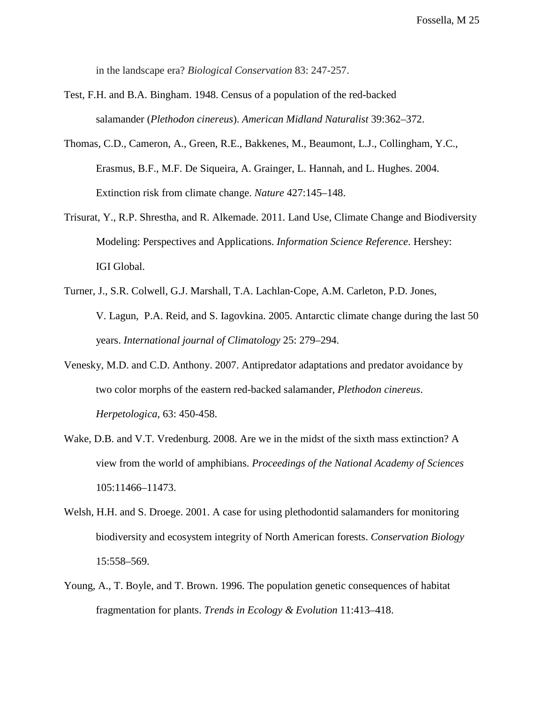in the landscape era? *Biological Conservation* 83: 247-257.

- Test, F.H. and B.A. Bingham. 1948. Census of a population of the red-backed salamander (*Plethodon cinereus*). *American Midland Naturalist* 39:362–372.
- Thomas, C.D., Cameron, A., Green, R.E., Bakkenes, M., Beaumont, L.J., Collingham, Y.C., Erasmus, B.F., M.F. De Siqueira, A. Grainger, L. Hannah, and L. Hughes. 2004. Extinction risk from climate change. *Nature* 427:145–148.
- Trisurat, Y., R.P. Shrestha, and R. Alkemade. 2011. Land Use, Climate Change and Biodiversity Modeling: Perspectives and Applications. *Information Science Reference*. Hershey: IGI Global.
- Turner, J., S.R. Colwell, G.J. Marshall, T.A. Lachlan‐Cope, A.M. Carleton, P.D. Jones, V. Lagun, P.A. Reid, and S. Iagovkina. 2005. Antarctic climate change during the last 50 years. *International journal of Climatology* 25: 279–294.
- Venesky, M.D. and C.D. Anthony. 2007. Antipredator adaptations and predator avoidance by two color morphs of the eastern red-backed salamander, *Plethodon cinereus*. *Herpetologica*, 63: 450-458.
- Wake, D.B. and V.T. Vredenburg. 2008. Are we in the midst of the sixth mass extinction? A view from the world of amphibians. *Proceedings of the National Academy of Sciences* 105:11466–11473.
- Welsh, H.H. and S. Droege. 2001. A case for using plethodontid salamanders for monitoring biodiversity and ecosystem integrity of North American forests. *Conservation Biology* 15:558–569.
- Young, A., T. Boyle, and T. Brown. 1996. The population genetic consequences of habitat fragmentation for plants. *Trends in Ecology & Evolution* 11:413–418.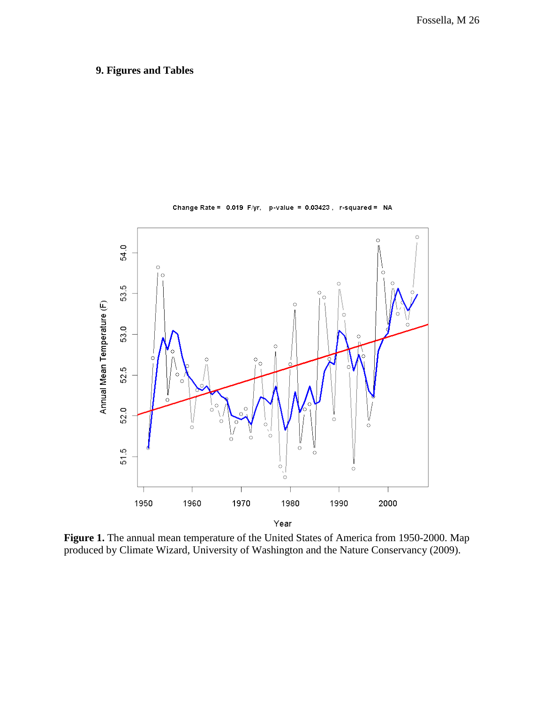# **9. Figures and Tables**



Change Rate =  $0.019$  F/yr, p-value =  $0.03423$ , r-squared = NA

**Figure 1.** The annual mean temperature of the United States of America from 1950-2000. Map produced by Climate Wizard, University of Washington and the Nature Conservancy (2009).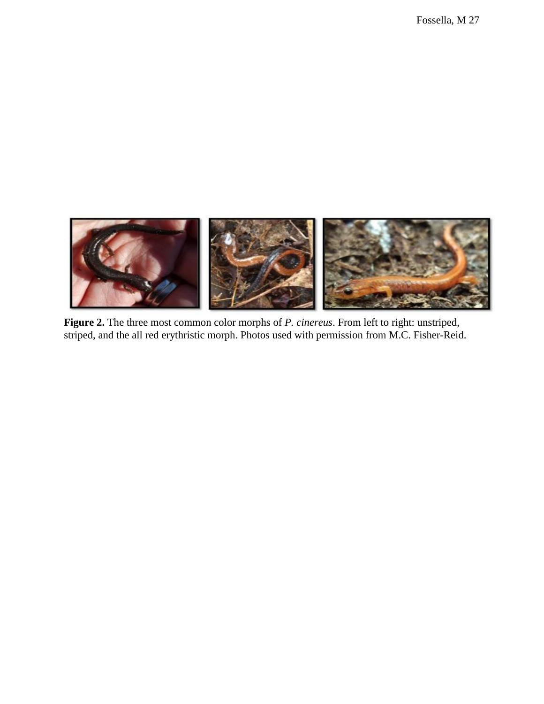

**Figure 2.** The three most common color morphs of *P. cinereus*. From left to right: unstriped, striped, and the all red erythristic morph. Photos used with permission from M.C. Fisher-Reid.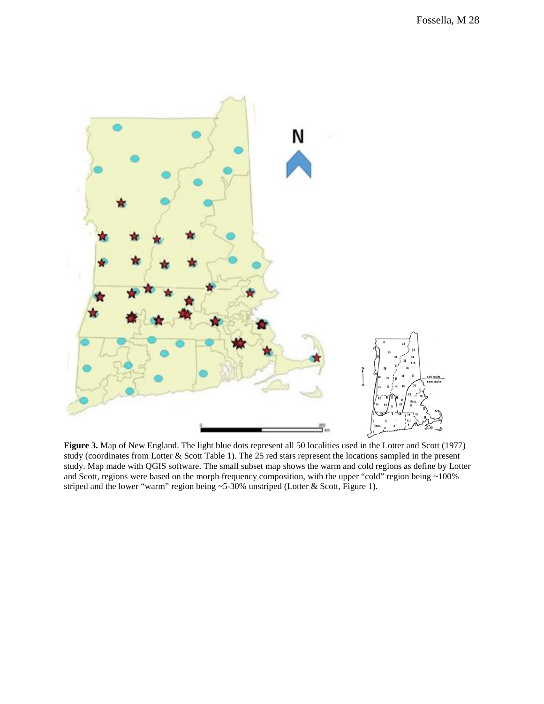

**Figure 3.** Map of New England. The light blue dots represent all 50 localities used in the Lotter and Scott (1977) study (coordinates from Lotter & Scott Table 1). The 25 red stars represent the locations sampled in the present study. Map made with QGIS software. The small subset map shows the warm and cold regions as define by Lotter and Scott, regions were based on the morph frequency composition, with the upper "cold" region being ~100% striped and the lower "warm" region being ~5-30% unstriped (Lotter & Scott, Figure 1).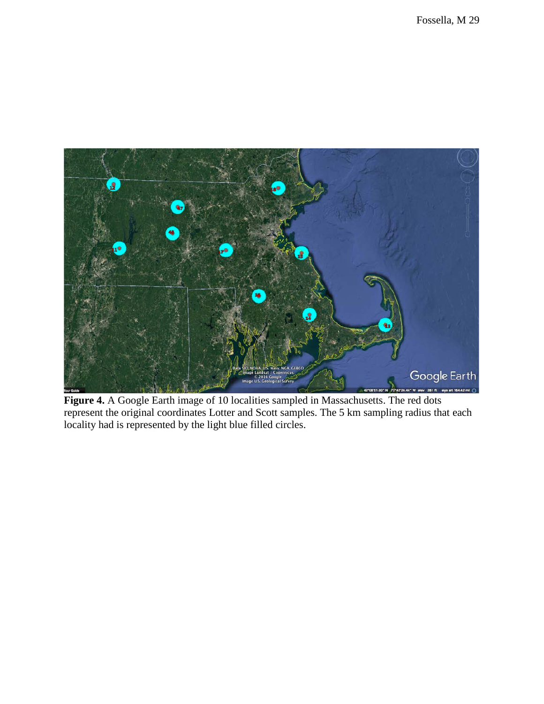

**Figure 4.** A Google Earth image of 10 localities sampled in Massachusetts. The red dots represent the original coordinates Lotter and Scott samples. The 5 km sampling radius that each locality had is represented by the light blue filled circles.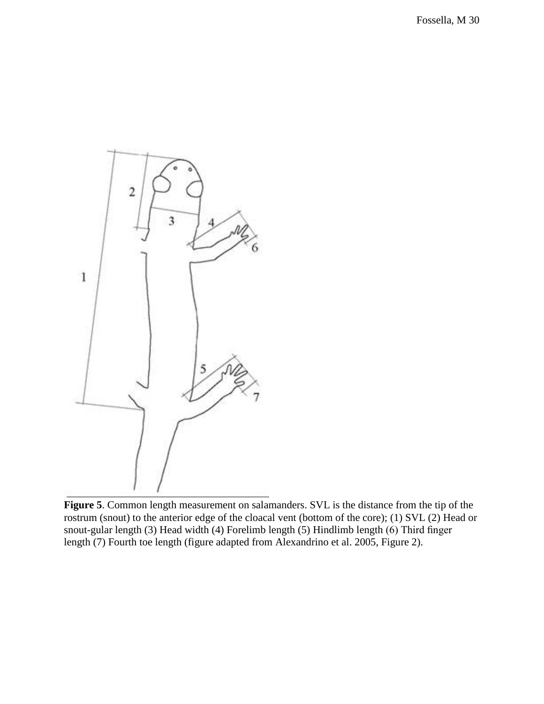

**Figure 5**. Common length measurement on salamanders. SVL is the distance from the tip of the rostrum (snout) to the anterior edge of the cloacal vent (bottom of the core); (1) SVL (2) Head or snout-gular length (3) Head width (4) Forelimb length (5) Hindlimb length (6) Third finger length (7) Fourth toe length (figure adapted from Alexandrino et al. 2005, Figure 2).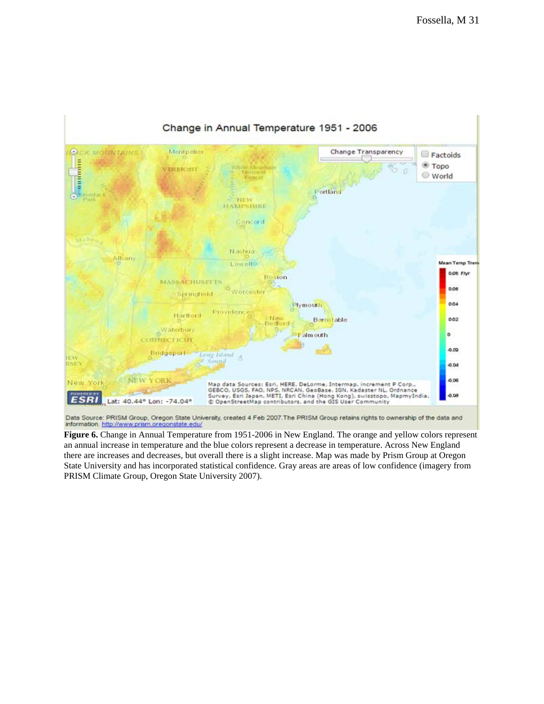

**Figure 6.** Change in Annual Temperature from 1951-2006 in New England. The orange and yellow colors represent an annual increase in temperature and the blue colors represent a decrease in temperature. Across New England there are increases and decreases, but overall there is a slight increase. Map was made by Prism Group at Oregon State University and has incorporated statistical confidence. Gray areas are areas of low confidence (imagery from PRISM Climate Group, Oregon State University 2007).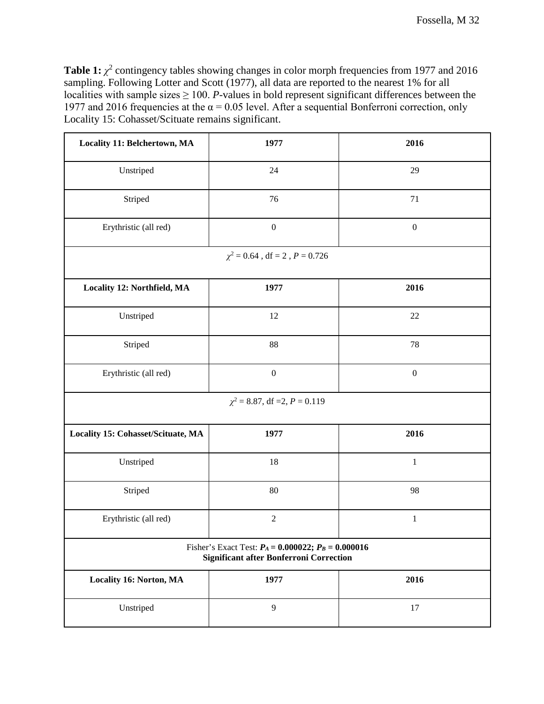**Table 1:**  $\chi^2$  contingency tables showing changes in color morph frequencies from 1977 and 2016 sampling. Following Lotter and Scott (1977), all data are reported to the nearest 1% for all localities with sample sizes  $\geq 100$ . *P*-values in bold represent significant differences between the 1977 and 2016 frequencies at the  $\alpha$  = 0.05 level. After a sequential Bonferroni correction, only Locality 15: Cohasset/Scituate remains significant.

| Locality 11: Belchertown, MA       | 1977                                                                                                       | 2016             |
|------------------------------------|------------------------------------------------------------------------------------------------------------|------------------|
| Unstriped                          | 24                                                                                                         | 29               |
| Striped                            | 76                                                                                                         | 71               |
| Erythristic (all red)              | $\boldsymbol{0}$                                                                                           | $\boldsymbol{0}$ |
|                                    | $\chi^2=0.64$ , df $=2$ , $P=0.726$                                                                        |                  |
| Locality 12: Northfield, MA        | 1977                                                                                                       | 2016             |
| Unstriped                          | 12                                                                                                         | 22               |
| Striped                            | 88                                                                                                         | 78               |
| Erythristic (all red)              | $\boldsymbol{0}$                                                                                           | $\boldsymbol{0}$ |
|                                    | $\chi^2$ = 8.87, df = 2, P = 0.119                                                                         |                  |
| Locality 15: Cohasset/Scituate, MA | 1977                                                                                                       | 2016             |
| Unstriped                          | 18                                                                                                         | $\,1$            |
| Striped                            | $80\,$                                                                                                     | 98               |
| Erythristic (all red)              | $\sqrt{2}$                                                                                                 | $\mathbf{1}$     |
|                                    | Fisher's Exact Test: $P_A = 0.000022$ ; $P_B = 0.000016$<br><b>Significant after Bonferroni Correction</b> |                  |
| Locality 16: Norton, MA            | 1977                                                                                                       | 2016             |
| Unstriped                          | 9                                                                                                          | 17               |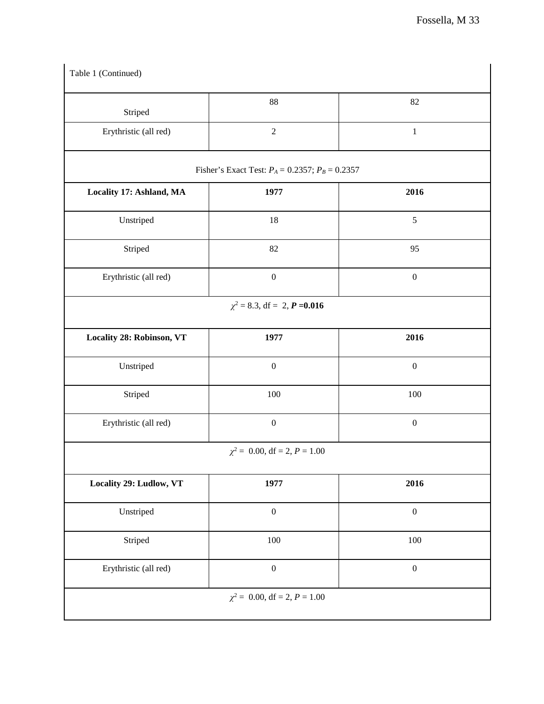| Table 1 (Continued)       |                                                      |                  |
|---------------------------|------------------------------------------------------|------------------|
| Striped                   | 88                                                   | 82               |
| Erythristic (all red)     | $\sqrt{2}$                                           | $\,1\,$          |
|                           | Fisher's Exact Test: $P_A = 0.2357$ ; $P_B = 0.2357$ |                  |
| Locality 17: Ashland, MA  | 1977                                                 | 2016             |
| Unstriped                 | 18                                                   | $\sqrt{5}$       |
| Striped                   | 82                                                   | 95               |
| Erythristic (all red)     | $\boldsymbol{0}$                                     | $\boldsymbol{0}$ |
|                           | $\chi^2$ = 8.3, df = 2, <b>P</b> = 0.016             |                  |
| Locality 28: Robinson, VT | 1977                                                 | 2016             |
| Unstriped                 | $\boldsymbol{0}$                                     | $\boldsymbol{0}$ |
| Striped                   | $100\,$                                              | 100              |
| Erythristic (all red)     | $\boldsymbol{0}$                                     | $\boldsymbol{0}$ |
|                           | $\chi^2$ = 0.00, df = 2, P = 1.00                    |                  |
| Locality 29: Ludlow, VT   | 1977                                                 | 2016             |
| Unstriped                 | $\boldsymbol{0}$                                     | $\boldsymbol{0}$ |
| Striped                   | $100\,$                                              | $100\,$          |
| Erythristic (all red)     | $\boldsymbol{0}$                                     | $\boldsymbol{0}$ |
|                           | $\chi^2$ = 0.00, df = 2, P = 1.00                    |                  |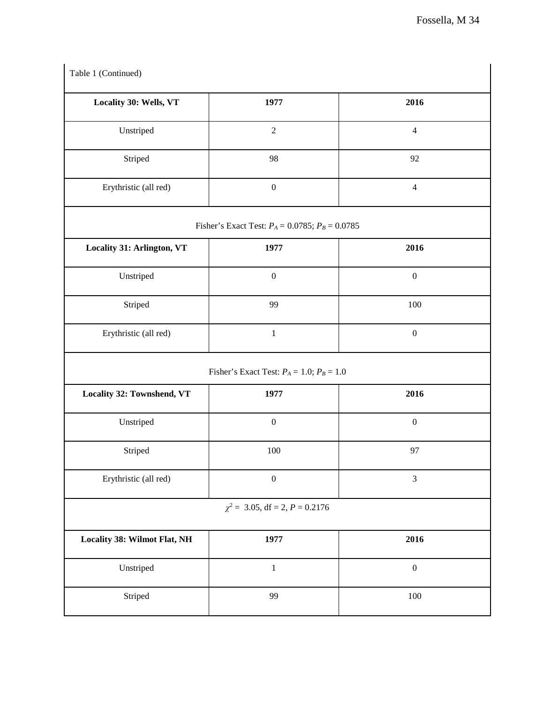| Locality 30: Wells, VT                    | 1977                                                 | 2016             |
|-------------------------------------------|------------------------------------------------------|------------------|
| Unstriped                                 | $\sqrt{2}$                                           | $\overline{4}$   |
| Striped                                   | 98                                                   | 92               |
| Erythristic (all red)                     | $\boldsymbol{0}$                                     | $\overline{4}$   |
|                                           | Fisher's Exact Test: $P_A = 0.0785$ ; $P_B = 0.0785$ |                  |
| Locality 31: Arlington, VT                | 1977                                                 | 2016             |
| Unstriped                                 | $\boldsymbol{0}$                                     | $\boldsymbol{0}$ |
| Striped                                   | 99                                                   | $100\,$          |
| Erythristic (all red)                     | $\mathbf 1$                                          | $\boldsymbol{0}$ |
|                                           | Fisher's Exact Test: $P_A = 1.0$ ; $P_B = 1.0$       |                  |
| Locality 32: Townshend, VT                | 1977                                                 | 2016             |
| Unstriped                                 | $\boldsymbol{0}$                                     | $\boldsymbol{0}$ |
| Striped                                   | 100                                                  | 97               |
| Erythristic (all red)                     | $\boldsymbol{0}$                                     | $\mathfrak{Z}$   |
|                                           | $\chi^2$ = 3.05, df = 2, P = 0.2176                  |                  |
|                                           |                                                      |                  |
|                                           | 1977                                                 | 2016             |
| Locality 38: Wilmot Flat, NH<br>Unstriped | $\,1\,$                                              | $\boldsymbol{0}$ |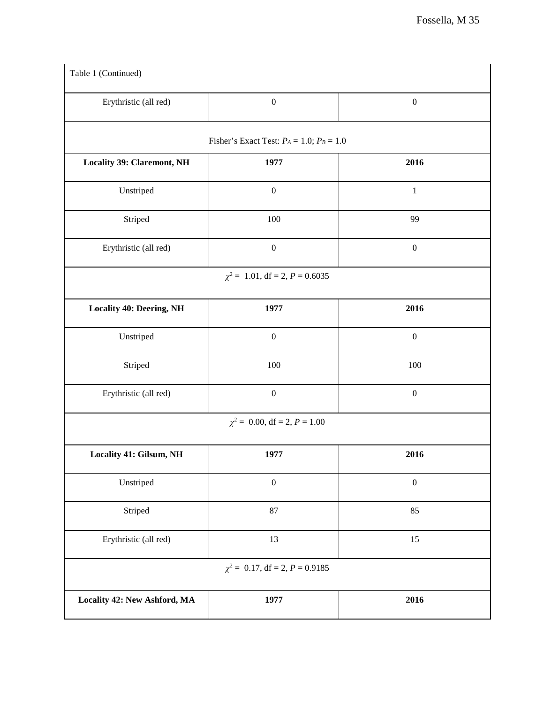| Erythristic (all red)             | $\boldsymbol{0}$                               | $\boldsymbol{0}$ |
|-----------------------------------|------------------------------------------------|------------------|
|                                   | Fisher's Exact Test: $P_A = 1.0$ ; $P_B = 1.0$ |                  |
| <b>Locality 39: Claremont, NH</b> | 1977                                           | 2016             |
| Unstriped                         | $\boldsymbol{0}$                               | $\,1$            |
| Striped                           | 100                                            | 99               |
| Erythristic (all red)             | $\boldsymbol{0}$                               | $\boldsymbol{0}$ |
|                                   | $\chi^2$ = 1.01, df = 2, P = 0.6035            |                  |
| <b>Locality 40: Deering, NH</b>   | 1977                                           | 2016             |
| Unstriped                         | $\boldsymbol{0}$                               | $\boldsymbol{0}$ |
| Striped                           | $100\,$                                        | $100\,$          |
| Erythristic (all red)             | $\boldsymbol{0}$                               | $\boldsymbol{0}$ |
|                                   | $\chi^2$ = 0.00, df = 2, P = 1.00              |                  |
| Locality 41: Gilsum, NH           | 1977                                           | 2016             |
| Unstriped                         | $\boldsymbol{0}$                               | $\boldsymbol{0}$ |
| Striped                           | 87                                             | 85               |
| Erythristic (all red)             | 13                                             | 15               |
|                                   | $\chi^2$ = 0.17, df = 2, P = 0.9185            |                  |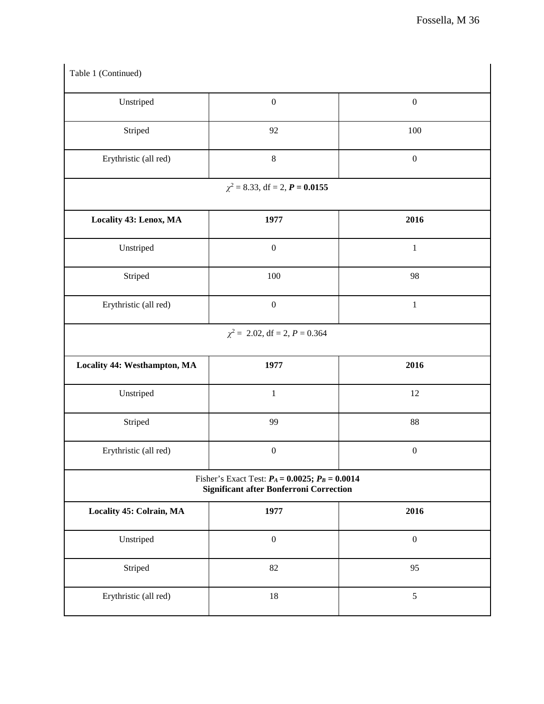| Table 1 (Continued)          |                                                                                                        |                  |
|------------------------------|--------------------------------------------------------------------------------------------------------|------------------|
| Unstriped                    | $\boldsymbol{0}$                                                                                       | $\boldsymbol{0}$ |
| Striped                      | 92                                                                                                     | 100              |
| Erythristic (all red)        | $8\,$                                                                                                  | $\boldsymbol{0}$ |
|                              | $\chi^2$ = 8.33, df = 2, <b>P</b> = 0.0155                                                             |                  |
| Locality 43: Lenox, MA       | 1977                                                                                                   | 2016             |
| Unstriped                    | $\boldsymbol{0}$                                                                                       | $\,1$            |
| Striped                      | 100                                                                                                    | 98               |
| Erythristic (all red)        | $\boldsymbol{0}$                                                                                       | $\,1$            |
|                              | $\chi^2$ = 2.02, df = 2, P = 0.364                                                                     |                  |
| Locality 44: Westhampton, MA | 1977                                                                                                   | 2016             |
| Unstriped                    | $\mathbf 1$                                                                                            | 12               |
| Striped                      | 99                                                                                                     | 88               |
| Erythristic (all red)        | $\boldsymbol{0}$                                                                                       | $\boldsymbol{0}$ |
|                              | Fisher's Exact Test: $P_A = 0.0025$ ; $P_B = 0.0014$<br><b>Significant after Bonferroni Correction</b> |                  |
| Locality 45: Colrain, MA     | 1977                                                                                                   | 2016             |
| Unstriped                    | $\boldsymbol{0}$                                                                                       | $\boldsymbol{0}$ |
| Striped                      | 82                                                                                                     | 95               |
| Erythristic (all red)        | 18                                                                                                     | $\sqrt{5}$       |